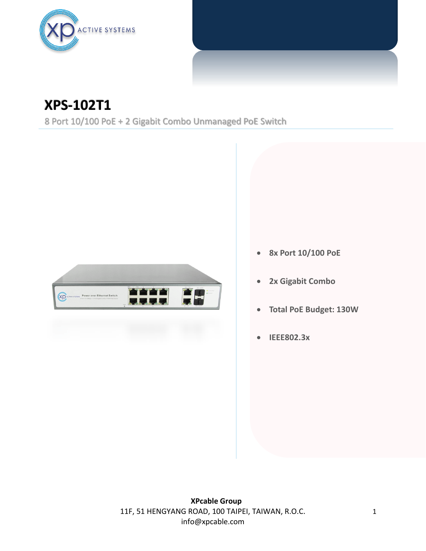

## **XPS-102T1**

8 Port 10/100 PoE + 2 Gigabit Combo Unmanaged PoE Switch



- **8x Port 10/100 PoE**
- **2x Gigabit Combo**
- **Total PoE Budget: 130W**
- **IEEE802.3x**